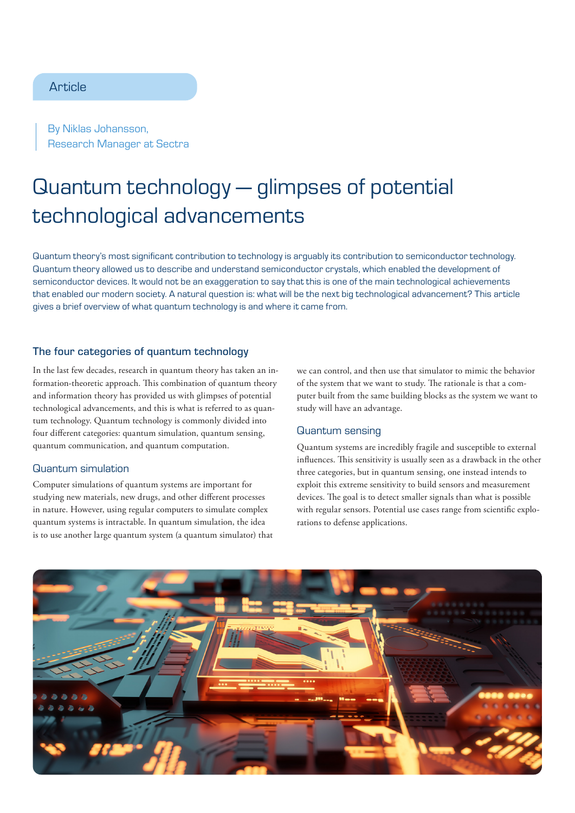## **Article**

By Niklas Johansson, Research Manager at Sectra

# Quantum technology — glimpses of potential technological advancements

Quantum theory's most significant contribution to technology is arguably its contribution to semiconductor technology. Quantum theory allowed us to describe and understand semiconductor crystals, which enabled the development of semiconductor devices. It would not be an exaggeration to say that this is one of the main technological achievements that enabled our modern society. A natural question is: what will be the next big technological advancement? This article gives a brief overview of what quantum technology is and where it came from.

### The four categories of quantum technology

In the last few decades, research in quantum theory has taken an information-theoretic approach. This combination of quantum theory and information theory has provided us with glimpses of potential technological advancements, and this is what is referred to as quantum technology. Quantum technology is commonly divided into four different categories: quantum simulation, quantum sensing, quantum communication, and quantum computation.

#### Quantum simulation

Computer simulations of quantum systems are important for studying new materials, new drugs, and other different processes in nature. However, using regular computers to simulate complex quantum systems is intractable. In quantum simulation, the idea is to use another large quantum system (a quantum simulator) that

we can control, and then use that simulator to mimic the behavior of the system that we want to study. The rationale is that a computer built from the same building blocks as the system we want to study will have an advantage.

#### Quantum sensing

Quantum systems are incredibly fragile and susceptible to external influences. This sensitivity is usually seen as a drawback in the other three categories, but in quantum sensing, one instead intends to exploit this extreme sensitivity to build sensors and measurement devices. The goal is to detect smaller signals than what is possible with regular sensors. Potential use cases range from scientific explorations to defense applications.